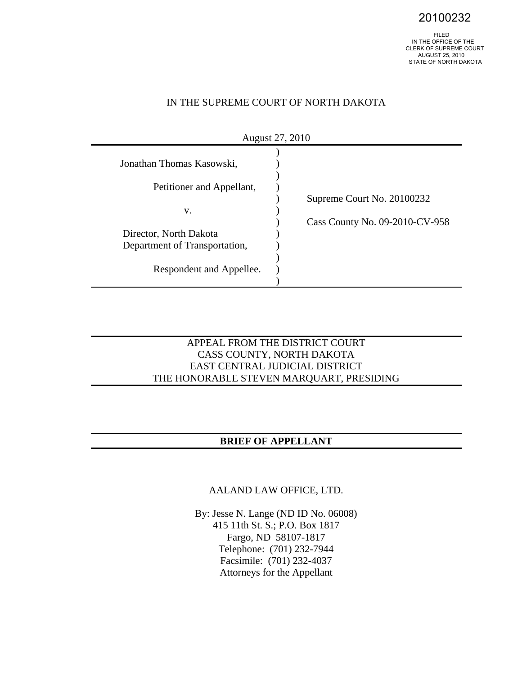20100232

 IN THE OFFICE OF THE CLERK OF SUPREME COURT AUGUST 25, 2010 STATE OF NORTH DAKOTA

### IN THE SUPREME COURT OF NORTH DAKOTA

| August 27, 2010               |                                |  |  |
|-------------------------------|--------------------------------|--|--|
| Jonathan Thomas Kasowski,     |                                |  |  |
| Petitioner and Appellant,     |                                |  |  |
| v.                            | Supreme Court No. 20100232     |  |  |
| Director, North Dakota        | Cass County No. 09-2010-CV-958 |  |  |
| Department of Transportation, |                                |  |  |
| Respondent and Appellee.      |                                |  |  |

### APPEAL FROM THE DISTRICT COURT CASS COUNTY, NORTH DAKOTA EAST CENTRAL JUDICIAL DISTRICT THE HONORABLE STEVEN MARQUART, PRESIDING

## **BRIEF OF APPELLANT**

AALAND LAW OFFICE, LTD.

By: Jesse N. Lange (ND ID No. 06008) 415 11th St. S.; P.O. Box 1817 Fargo, ND 58107-1817 Telephone: (701) 232-7944 Facsimile: (701) 232-4037 Attorneys for the Appellant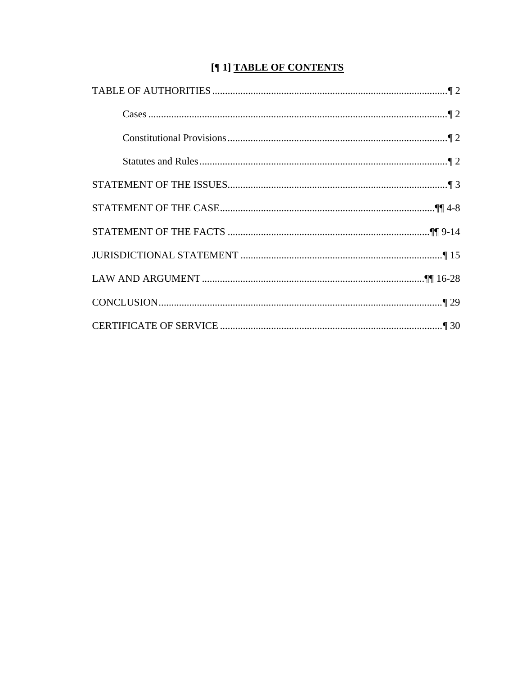# [¶ 1] TABLE OF CONTENTS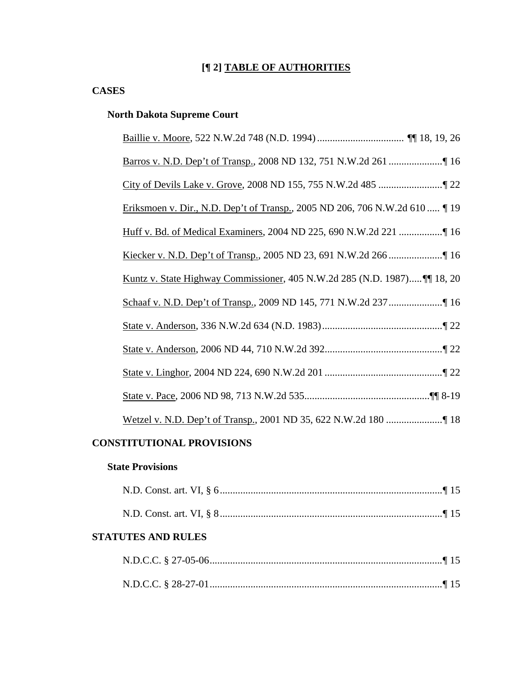## **[¶ 2] TABLE OF AUTHORITIES**

### **CASES**

## **North Dakota Supreme Court**

| Eriksmoen v. Dir., N.D. Dep't of Transp., 2005 ND 206, 706 N.W.2d 610  [19]         |
|-------------------------------------------------------------------------------------|
|                                                                                     |
|                                                                                     |
| <u>Kuntz v. State Highway Commissioner</u> , 405 N.W.2d 285 (N.D. 1987) [[1] 18, 20 |
|                                                                                     |
|                                                                                     |
|                                                                                     |
|                                                                                     |
|                                                                                     |
|                                                                                     |

## **CONSTITUTIONAL PROVISIONS**

## **State Provisions**

|--|--|

### **STATUTES AND RULES**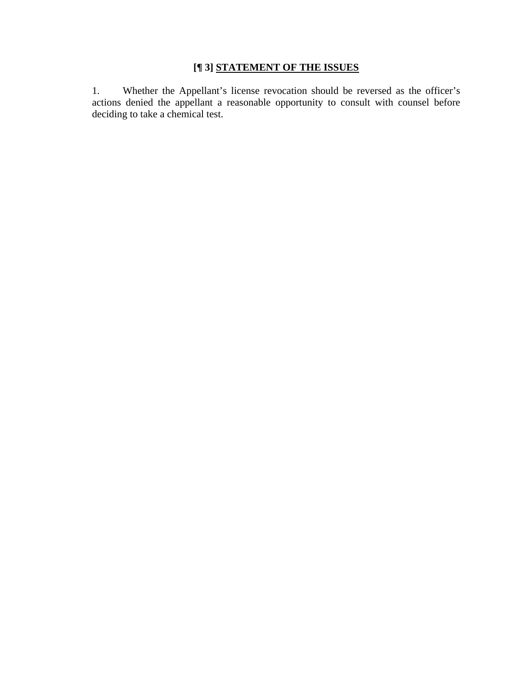## **[¶ 3] STATEMENT OF THE ISSUES**

1. Whether the Appellant's license revocation should be reversed as the officer's actions denied the appellant a reasonable opportunity to consult with counsel before deciding to take a chemical test.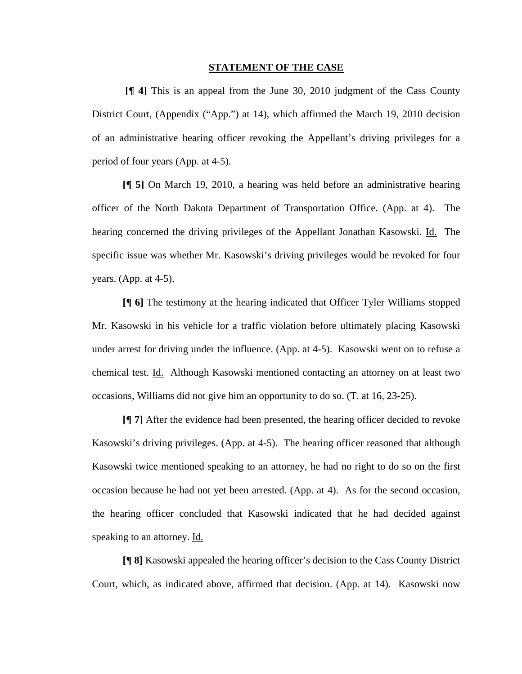#### **STATEMENT OF THE CASE**

**[¶ 4]** This is an appeal from the June 30, 2010 judgment of the Cass County District Court, (Appendix ("App.") at 14), which affirmed the March 19, 2010 decision of an administrative hearing officer revoking the Appellant's driving privileges for a period of four years (App. at 4-5).

**[¶ 5]** On March 19, 2010, a hearing was held before an administrative hearing officer of the North Dakota Department of Transportation Office. (App. at 4). The hearing concerned the driving privileges of the Appellant Jonathan Kasowski. Id. The specific issue was whether Mr. Kasowski's driving privileges would be revoked for four years. (App. at 4-5).

**[¶ 6]** The testimony at the hearing indicated that Officer Tyler Williams stopped Mr. Kasowski in his vehicle for a traffic violation before ultimately placing Kasowski under arrest for driving under the influence. (App. at 4-5). Kasowski went on to refuse a chemical test. Id. Although Kasowski mentioned contacting an attorney on at least two occasions, Williams did not give him an opportunity to do so. (T. at 16, 23-25).

**[¶ 7]** After the evidence had been presented, the hearing officer decided to revoke Kasowski's driving privileges. (App. at 4-5). The hearing officer reasoned that although Kasowski twice mentioned speaking to an attorney, he had no right to do so on the first occasion because he had not yet been arrested. (App. at 4). As for the second occasion, the hearing officer concluded that Kasowski indicated that he had decided against speaking to an attorney. Id.

**[¶ 8]** Kasowski appealed the hearing officer's decision to the Cass County District Court, which, as indicated above, affirmed that decision. (App. at 14). Kasowski now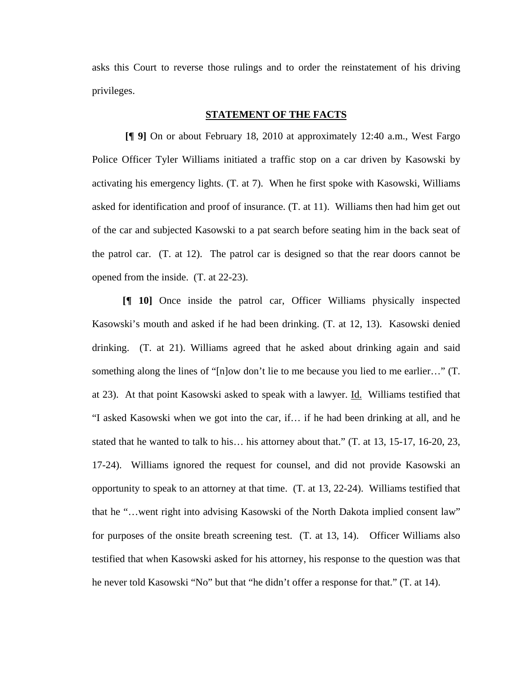asks this Court to reverse those rulings and to order the reinstatement of his driving privileges.

### **STATEMENT OF THE FACTS**

 **[¶ 9]** On or about February 18, 2010 at approximately 12:40 a.m., West Fargo Police Officer Tyler Williams initiated a traffic stop on a car driven by Kasowski by activating his emergency lights. (T. at 7). When he first spoke with Kasowski, Williams asked for identification and proof of insurance. (T. at 11). Williams then had him get out of the car and subjected Kasowski to a pat search before seating him in the back seat of the patrol car. (T. at 12). The patrol car is designed so that the rear doors cannot be opened from the inside. (T. at 22-23).

**[¶ 10]** Once inside the patrol car, Officer Williams physically inspected Kasowski's mouth and asked if he had been drinking. (T. at 12, 13). Kasowski denied drinking. (T. at 21). Williams agreed that he asked about drinking again and said something along the lines of "[n]ow don't lie to me because you lied to me earlier…" (T. at 23). At that point Kasowski asked to speak with a lawyer. Id. Williams testified that "I asked Kasowski when we got into the car, if… if he had been drinking at all, and he stated that he wanted to talk to his… his attorney about that." (T. at 13, 15-17, 16-20, 23, 17-24). Williams ignored the request for counsel, and did not provide Kasowski an opportunity to speak to an attorney at that time. (T. at 13, 22-24). Williams testified that that he "…went right into advising Kasowski of the North Dakota implied consent law" for purposes of the onsite breath screening test. (T. at 13, 14). Officer Williams also testified that when Kasowski asked for his attorney, his response to the question was that he never told Kasowski "No" but that "he didn't offer a response for that." (T. at 14).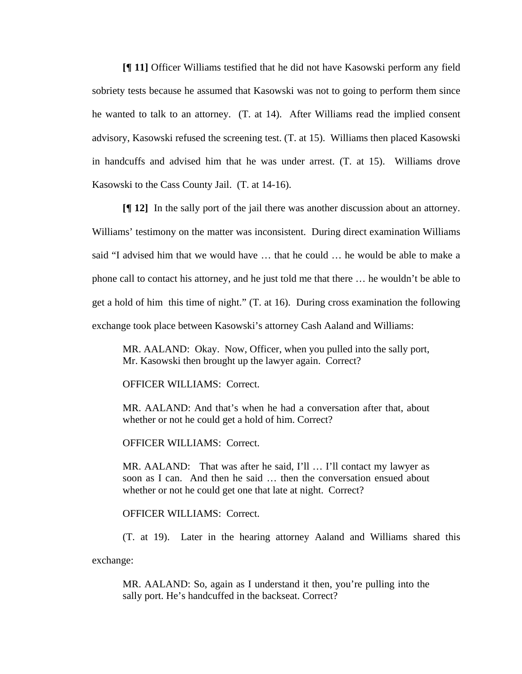**[¶ 11]** Officer Williams testified that he did not have Kasowski perform any field sobriety tests because he assumed that Kasowski was not to going to perform them since he wanted to talk to an attorney. (T. at 14).After Williams read the implied consent advisory, Kasowski refused the screening test. (T. at 15). Williams then placed Kasowski in handcuffs and advised him that he was under arrest. (T. at 15). Williams drove Kasowski to the Cass County Jail. (T. at 14-16).

**[¶ 12]** In the sally port of the jail there was another discussion about an attorney. Williams' testimony on the matter was inconsistent. During direct examination Williams said "I advised him that we would have … that he could … he would be able to make a phone call to contact his attorney, and he just told me that there … he wouldn't be able to get a hold of him this time of night." (T. at 16). During cross examination the following exchange took place between Kasowski's attorney Cash Aaland and Williams:

MR. AALAND: Okay. Now, Officer, when you pulled into the sally port, Mr. Kasowski then brought up the lawyer again. Correct?

OFFICER WILLIAMS: Correct.

MR. AALAND: And that's when he had a conversation after that, about whether or not he could get a hold of him. Correct?

OFFICER WILLIAMS: Correct.

MR. AALAND: That was after he said, I'll ... I'll contact my lawyer as soon as I can. And then he said … then the conversation ensued about whether or not he could get one that late at night. Correct?

OFFICER WILLIAMS: Correct.

(T. at 19). Later in the hearing attorney Aaland and Williams shared this

exchange:

MR. AALAND: So, again as I understand it then, you're pulling into the sally port. He's handcuffed in the backseat. Correct?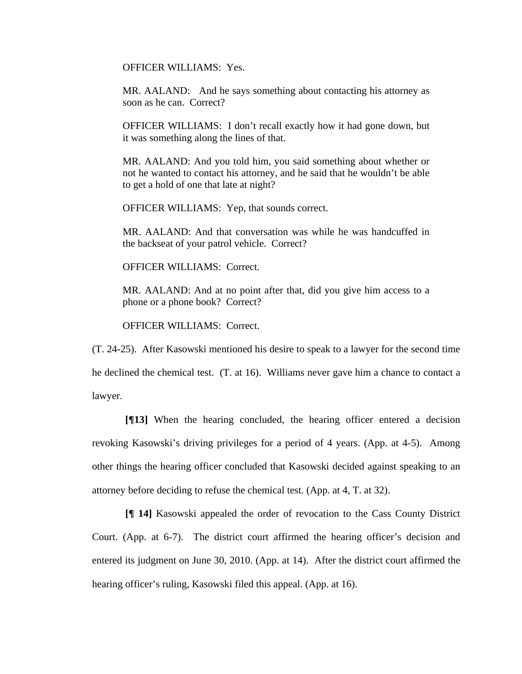OFFICER WILLIAMS: Yes.

MR. AALAND: And he says something about contacting his attorney as soon as he can. Correct?

OFFICER WILLIAMS: I don't recall exactly how it had gone down, but it was something along the lines of that.

MR. AALAND: And you told him, you said something about whether or not he wanted to contact his attorney, and he said that he wouldn't be able to get a hold of one that late at night?

OFFICER WILLIAMS: Yep, that sounds correct.

MR. AALAND: And that conversation was while he was handcuffed in the backseat of your patrol vehicle. Correct?

OFFICER WILLIAMS: Correct.

MR. AALAND: And at no point after that, did you give him access to a phone or a phone book? Correct?

OFFICER WILLIAMS: Correct.

(T. 24-25). After Kasowski mentioned his desire to speak to a lawyer for the second time he declined the chemical test. (T. at 16). Williams never gave him a chance to contact a lawyer.

 **[¶13]** When the hearing concluded, the hearing officer entered a decision revoking Kasowski's driving privileges for a period of 4 years. (App. at 4-5). Among other things the hearing officer concluded that Kasowski decided against speaking to an attorney before deciding to refuse the chemical test. (App. at 4, T. at 32).

**[¶ 14]** Kasowski appealed the order of revocation to the Cass County District Court. (App. at 6-7). The district court affirmed the hearing officer's decision and entered its judgment on June 30, 2010. (App. at 14). After the district court affirmed the hearing officer's ruling, Kasowski filed this appeal. (App. at 16).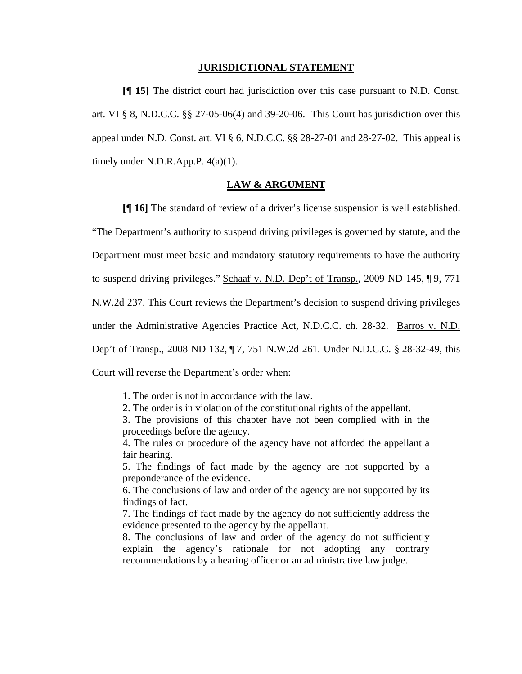#### **JURISDICTIONAL STATEMENT**

**[¶ 15]** The district court had jurisdiction over this case pursuant to N.D. Const. art. VI § 8, N.D.C.C. §§ 27-05-06(4) and 39-20-06. This Court has jurisdiction over this appeal under N.D. Const. art. VI § 6, N.D.C.C. §§ 28-27-01 and 28-27-02. This appeal is timely under N.D.R.App.P.  $4(a)(1)$ .

#### **LAW & ARGUMENT**

**[¶ 16]** The standard of review of a driver's license suspension is well established. "The Department's authority to suspend driving privileges is governed by statute, and the Department must meet basic and mandatory statutory requirements to have the authority to suspend driving privileges." Schaaf v. N.D. Dep't of Transp., 2009 ND 145, 19, 771 N.W.2d 237. This Court reviews the Department's decision to suspend driving privileges under the Administrative Agencies Practice Act, N.D.C.C. ch. 28-32. Barros v. N.D. Dep't of Transp., 2008 ND 132, ¶ 7, 751 N.W.2d 261. Under N.D.C.C. § 28-32-49, this Court will reverse the Department's order when:

1. The order is not in accordance with the law.

2. The order is in violation of the constitutional rights of the appellant.

3. The provisions of this chapter have not been complied with in the proceedings before the agency.

4. The rules or procedure of the agency have not afforded the appellant a fair hearing.

5. The findings of fact made by the agency are not supported by a preponderance of the evidence.

6. The conclusions of law and order of the agency are not supported by its findings of fact.

7. The findings of fact made by the agency do not sufficiently address the evidence presented to the agency by the appellant.

8. The conclusions of law and order of the agency do not sufficiently explain the agency's rationale for not adopting any contrary recommendations by a hearing officer or an administrative law judge.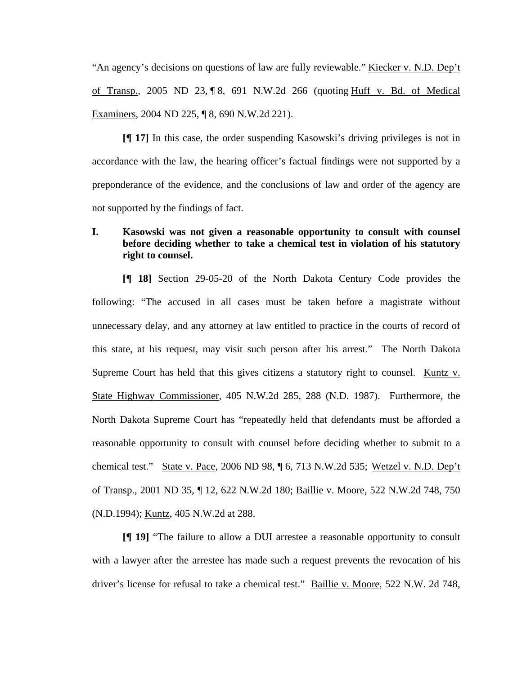"An agency's decisions on questions of law are fully reviewable." Kiecker v. N.D. Dep't of Transp., 2005 ND 23, ¶ 8, 691 N.W.2d 266 (quoting Huff v. Bd. of Medical Examiners, 2004 ND 225, ¶ 8, 690 N.W.2d 221).

**[¶ 17]** In this case, the order suspending Kasowski's driving privileges is not in accordance with the law, the hearing officer's factual findings were not supported by a preponderance of the evidence, and the conclusions of law and order of the agency are not supported by the findings of fact.

### **I. Kasowski was not given a reasonable opportunity to consult with counsel before deciding whether to take a chemical test in violation of his statutory right to counsel.**

**[¶ 18]** Section 29-05-20 of the North Dakota Century Code provides the following: "The accused in all cases must be taken before a magistrate without unnecessary delay, and any attorney at law entitled to practice in the courts of record of this state, at his request, may visit such person after his arrest." The North Dakota Supreme Court has held that this gives citizens a statutory right to counsel. Kuntz  $v_i$ State Highway Commissioner, 405 N.W.2d 285, 288 (N.D. 1987). Furthermore, the North Dakota Supreme Court has "repeatedly held that defendants must be afforded a reasonable opportunity to consult with counsel before deciding whether to submit to a chemical test." State v. Pace, 2006 ND 98, ¶ 6, 713 N.W.2d 535; Wetzel v. N.D. Dep't of Transp., 2001 ND 35, ¶ 12, 622 N.W.2d 180; Baillie v. Moore, 522 N.W.2d 748, 750 (N.D.1994); Kuntz, 405 N.W.2d at 288.

**[¶ 19]** "The failure to allow a DUI arrestee a reasonable opportunity to consult with a lawyer after the arrestee has made such a request prevents the revocation of his driver's license for refusal to take a chemical test." Baillie v. Moore, 522 N.W. 2d 748,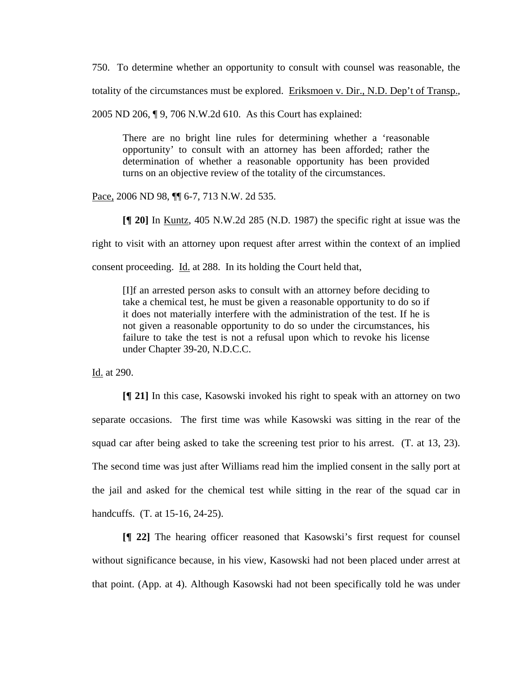750. To determine whether an opportunity to consult with counsel was reasonable, the

totality of the circumstances must be explored. Eriksmoen v. Dir., N.D. Dep't of Transp.,

2005 ND 206, ¶ 9, 706 N.W.2d 610. As this Court has explained:

There are no bright line rules for determining whether a 'reasonable opportunity' to consult with an attorney has been afforded; rather the determination of whether a reasonable opportunity has been provided turns on an objective review of the totality of the circumstances.

Pace, 2006 ND 98,  $\P$  6-7, 713 N.W. 2d 535.

**[¶ 20]** In Kuntz, 405 N.W.2d 285 (N.D. 1987) the specific right at issue was the

right to visit with an attorney upon request after arrest within the context of an implied

consent proceeding. Id. at 288. In its holding the Court held that,

[I]f an arrested person asks to consult with an attorney before deciding to take a chemical test, he must be given a reasonable opportunity to do so if it does not materially interfere with the administration of the test. If he is not given a reasonable opportunity to do so under the circumstances, his failure to take the test is not a refusal upon which to revoke his license under Chapter 39-20, N.D.C.C.

Id. at 290.

**[¶ 21]** In this case, Kasowski invoked his right to speak with an attorney on two separate occasions. The first time was while Kasowski was sitting in the rear of the squad car after being asked to take the screening test prior to his arrest. (T. at 13, 23). The second time was just after Williams read him the implied consent in the sally port at the jail and asked for the chemical test while sitting in the rear of the squad car in handcuffs. (T. at 15-16, 24-25).

**[¶ 22]** The hearing officer reasoned that Kasowski's first request for counsel without significance because, in his view, Kasowski had not been placed under arrest at that point. (App. at 4). Although Kasowski had not been specifically told he was under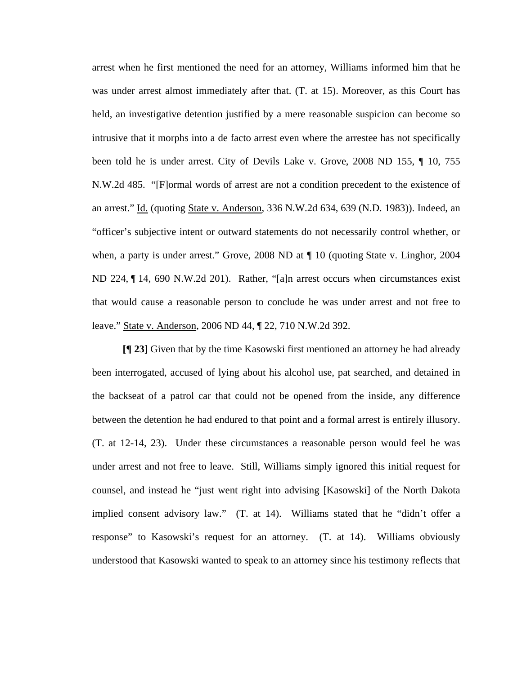arrest when he first mentioned the need for an attorney, Williams informed him that he was under arrest almost immediately after that. (T. at 15). Moreover, as this Court has held, an investigative detention justified by a mere reasonable suspicion can become so intrusive that it morphs into a de facto arrest even where the arrestee has not specifically been told he is under arrest. City of Devils Lake v. Grove, 2008 ND 155, ¶ 10, 755 N.W.2d 485. "[F]ormal words of arrest are not a condition precedent to the existence of an arrest." Id. (quoting State v. Anderson, 336 N.W.2d 634, 639 (N.D. 1983)). Indeed, an "officer's subjective intent or outward statements do not necessarily control whether, or when, a party is under arrest." Grove, 2008 ND at ¶ 10 (quoting State v. Linghor, 2004 ND 224, ¶ 14, 690 N.W.2d 201). Rather, "[a]n arrest occurs when circumstances exist that would cause a reasonable person to conclude he was under arrest and not free to leave." State v. Anderson, 2006 ND 44, ¶ 22, 710 N.W.2d 392.

**[¶ 23]** Given that by the time Kasowski first mentioned an attorney he had already been interrogated, accused of lying about his alcohol use, pat searched, and detained in the backseat of a patrol car that could not be opened from the inside, any difference between the detention he had endured to that point and a formal arrest is entirely illusory. (T. at 12-14, 23). Under these circumstances a reasonable person would feel he was under arrest and not free to leave. Still, Williams simply ignored this initial request for counsel, and instead he "just went right into advising [Kasowski] of the North Dakota implied consent advisory law." (T. at 14). Williams stated that he "didn't offer a response" to Kasowski's request for an attorney. (T. at 14). Williams obviously understood that Kasowski wanted to speak to an attorney since his testimony reflects that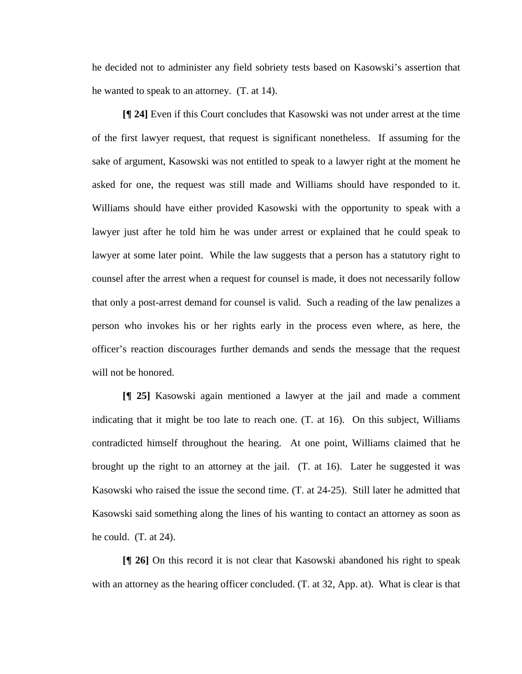he decided not to administer any field sobriety tests based on Kasowski's assertion that he wanted to speak to an attorney. (T. at 14).

**[¶ 24]** Even if this Court concludes that Kasowski was not under arrest at the time of the first lawyer request, that request is significant nonetheless. If assuming for the sake of argument, Kasowski was not entitled to speak to a lawyer right at the moment he asked for one, the request was still made and Williams should have responded to it. Williams should have either provided Kasowski with the opportunity to speak with a lawyer just after he told him he was under arrest or explained that he could speak to lawyer at some later point. While the law suggests that a person has a statutory right to counsel after the arrest when a request for counsel is made, it does not necessarily follow that only a post-arrest demand for counsel is valid. Such a reading of the law penalizes a person who invokes his or her rights early in the process even where, as here, the officer's reaction discourages further demands and sends the message that the request will not be honored.

**[¶ 25]** Kasowski again mentioned a lawyer at the jail and made a comment indicating that it might be too late to reach one. (T. at 16). On this subject, Williams contradicted himself throughout the hearing. At one point, Williams claimed that he brought up the right to an attorney at the jail. (T. at 16). Later he suggested it was Kasowski who raised the issue the second time. (T. at 24-25). Still later he admitted that Kasowski said something along the lines of his wanting to contact an attorney as soon as he could. (T. at 24).

**[¶ 26]** On this record it is not clear that Kasowski abandoned his right to speak with an attorney as the hearing officer concluded. (T. at 32, App. at). What is clear is that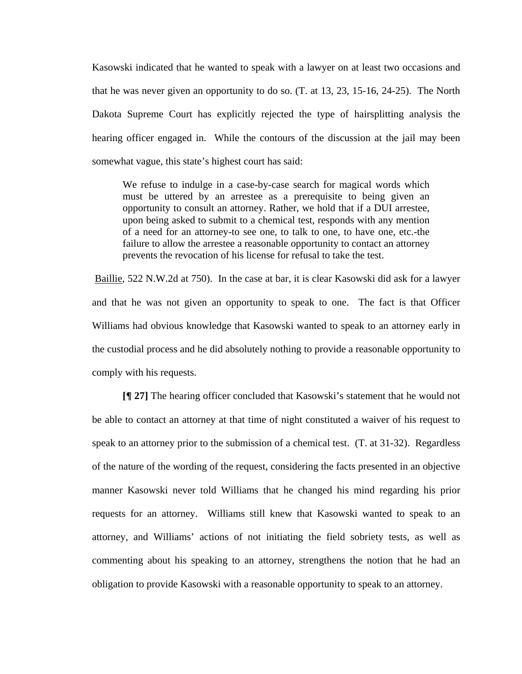Kasowski indicated that he wanted to speak with a lawyer on at least two occasions and that he was never given an opportunity to do so. (T. at 13, 23, 15-16, 24-25). The North Dakota Supreme Court has explicitly rejected the type of hairsplitting analysis the hearing officer engaged in. While the contours of the discussion at the jail may been somewhat vague, this state's highest court has said:

We refuse to indulge in a case-by-case search for magical words which must be uttered by an arrestee as a prerequisite to being given an opportunity to consult an attorney. Rather, we hold that if a DUI arrestee, upon being asked to submit to a chemical test, responds with any mention of a need for an attorney-to see one, to talk to one, to have one, etc.-the failure to allow the arrestee a reasonable opportunity to contact an attorney prevents the revocation of his license for refusal to take the test.

Baillie, 522 N.W.2d at 750). In the case at bar, it is clear Kasowski did ask for a lawyer and that he was not given an opportunity to speak to one. The fact is that Officer Williams had obvious knowledge that Kasowski wanted to speak to an attorney early in the custodial process and he did absolutely nothing to provide a reasonable opportunity to comply with his requests.

**[¶ 27]** The hearing officer concluded that Kasowski's statement that he would not be able to contact an attorney at that time of night constituted a waiver of his request to speak to an attorney prior to the submission of a chemical test. (T. at 31-32). Regardless of the nature of the wording of the request, considering the facts presented in an objective manner Kasowski never told Williams that he changed his mind regarding his prior requests for an attorney. Williams still knew that Kasowski wanted to speak to an attorney, and Williams' actions of not initiating the field sobriety tests, as well as commenting about his speaking to an attorney, strengthens the notion that he had an obligation to provide Kasowski with a reasonable opportunity to speak to an attorney.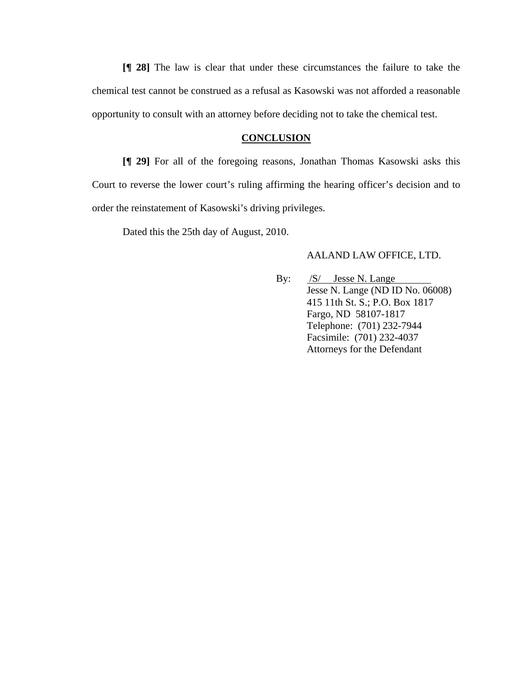**[¶ 28]** The law is clear that under these circumstances the failure to take the chemical test cannot be construed as a refusal as Kasowski was not afforded a reasonable opportunity to consult with an attorney before deciding not to take the chemical test.

#### **CONCLUSION**

**[¶ 29]** For all of the foregoing reasons, Jonathan Thomas Kasowski asks this Court to reverse the lower court's ruling affirming the hearing officer's decision and to order the reinstatement of Kasowski's driving privileges.

Dated this the 25th day of August, 2010.

### AALAND LAW OFFICE, LTD.

By:  $/S/$  Jesse N. Lange Jesse N. Lange (ND ID No. 06008) 415 11th St. S.; P.O. Box 1817 Fargo, ND 58107-1817 Telephone: (701) 232-7944 Facsimile: (701) 232-4037 Attorneys for the Defendant